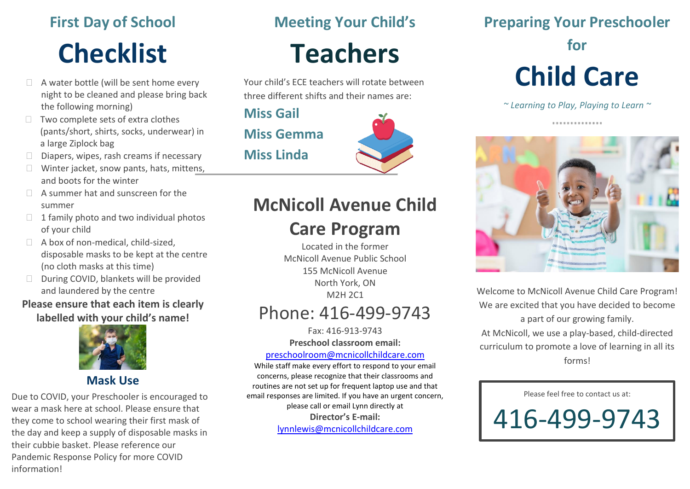# **First Day of School Checklist**

- $\Box$  A water bottle (will be sent home every night to be cleaned and please bring back the following morning)
- $\Box$  Two complete sets of extra clothes (pants/short, shirts, socks, underwear) in a large Ziplock bag
- $\square$  Diapers, wipes, rash creams if necessary
- $\Box$  Winter jacket, snow pants, hats, mittens, and boots for the winter
- $\Box$  A summer hat and sunscreen for the summer
- $\Box$  1 family photo and two individual photos of your child
- $\Box$  A box of non-medical, child-sized, disposable masks to be kept at the centre (no cloth masks at this time)
- During COVID, blankets will be provided and laundered by the centre

#### **Please ensure that each item is clearly labelled with your child's name!**



#### **Mask Use**

Due to COVID, your Preschooler is encouraged to wear a mask here at school. Please ensure that they come to school wearing their first mask of the day and keep a supply of disposable masks in their cubbie basket. Please reference our Pandemic Response Policy for more COVID information!

## **Meeting Your Child's**

# **Teachers**

Your child's ECE teachers will rotate between three different shifts and their names are:

**Miss Gail Miss Gemma Miss Linda**



# **McNicoll Avenue Child**

## **Care Program**

Located in the former McNicoll Avenue Public School 155 McNicoll Avenue North York, ON M2H 2C1

## Phone: 416-499-9743

Fax: 416-913-9743 **Preschool classroom email:**

[preschoolroom@mcnicollchildcare.com](mailto:preschoolroom@mcnicollchildcare.com)

While staff make every effort to respond to your email concerns, please recognize that their classrooms and routines are not set up for frequent laptop use and that email responses are limited. If you have an urgent concern, please call or email Lynn directly at **Director's E-mail:** [lynnlewis@mcnicollchildcare.com](mailto:lynnlewis@mcnicollchildcare.com)

**Preparing Your Preschooler** 

#### **for**

# **Child Care**

*~ Learning to Play, Playing to Learn ~*

..............



Welcome to McNicoll Avenue Child Care Program! We are excited that you have decided to become a part of our growing family. At McNicoll, we use a play-based, child-directed curriculum to promote a love of learning in all its forms!

Please feel free to contact us at:

416-499-9743